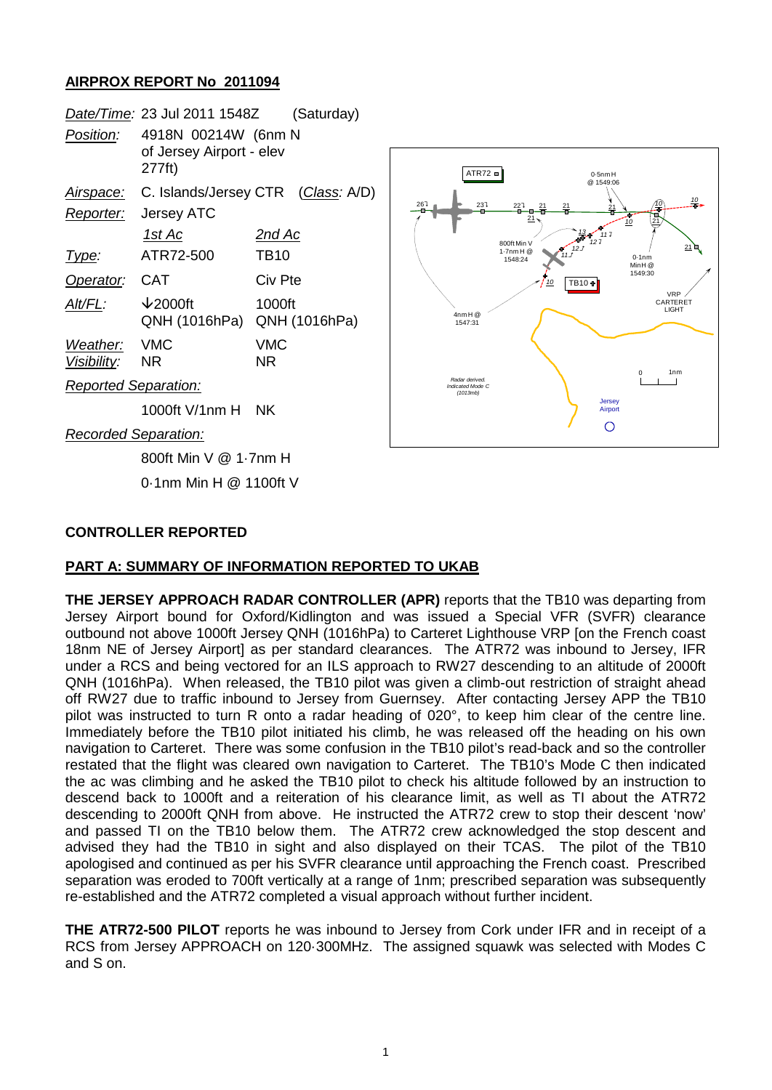## **AIRPROX REPORT No 2011094**

|                             | Date/Time: 23 Jul 2011 1548Z                              |                  | (Saturday)    |
|-----------------------------|-----------------------------------------------------------|------------------|---------------|
| <i>Position:</i>            | 4918N 00214W (6nm N<br>of Jersey Airport - elev<br>277ft) |                  |               |
| Airspace:                   | C. Islands/Jersey CTR (Class: A/D)                        |                  |               |
| Reporter:                   | <b>Jersey ATC</b>                                         |                  |               |
|                             | <u> 1st Ac</u>                                            | <u>2nd Ac</u>    |               |
| <u>Type:</u>                | ATR72-500                                                 | TB10             |               |
| Operator:                   | CAT                                                       | Civ Pte          |               |
| Alt/FL:                     | $\downarrow$ 2000ft<br>QNH (1016hPa)                      | 1000ft           | QNH (1016hPa) |
| Weather:<br>Visibility:     | <b>VMC</b><br>NR                                          | <b>VMC</b><br>ΝR |               |
| <b>Reported Separation:</b> |                                                           |                  |               |



*Recorded Separation:*

800ft Min V @ 1·7nm H

1000ft V/1nm H NK

0·1nm Min H @ 1100ft V

## **CONTROLLER REPORTED**

## **PART A: SUMMARY OF INFORMATION REPORTED TO UKAB**

**THE JERSEY APPROACH RADAR CONTROLLER (APR)** reports that the TB10 was departing from Jersey Airport bound for Oxford/Kidlington and was issued a Special VFR (SVFR) clearance outbound not above 1000ft Jersey QNH (1016hPa) to Carteret Lighthouse VRP [on the French coast 18nm NE of Jersey Airport] as per standard clearances. The ATR72 was inbound to Jersey, IFR under a RCS and being vectored for an ILS approach to RW27 descending to an altitude of 2000ft QNH (1016hPa). When released, the TB10 pilot was given a climb-out restriction of straight ahead off RW27 due to traffic inbound to Jersey from Guernsey. After contacting Jersey APP the TB10 pilot was instructed to turn R onto a radar heading of 020°, to keep him clear of the centre line. Immediately before the TB10 pilot initiated his climb, he was released off the heading on his own navigation to Carteret. There was some confusion in the TB10 pilot's read-back and so the controller restated that the flight was cleared own navigation to Carteret. The TB10's Mode C then indicated the ac was climbing and he asked the TB10 pilot to check his altitude followed by an instruction to descend back to 1000ft and a reiteration of his clearance limit, as well as TI about the ATR72 descending to 2000ft QNH from above. He instructed the ATR72 crew to stop their descent 'now' and passed TI on the TB10 below them. The ATR72 crew acknowledged the stop descent and advised they had the TB10 in sight and also displayed on their TCAS. The pilot of the TB10 apologised and continued as per his SVFR clearance until approaching the French coast. Prescribed separation was eroded to 700ft vertically at a range of 1nm; prescribed separation was subsequently re-established and the ATR72 completed a visual approach without further incident.

**THE ATR72-500 PILOT** reports he was inbound to Jersey from Cork under IFR and in receipt of a RCS from Jersey APPROACH on 120·300MHz. The assigned squawk was selected with Modes C and S on.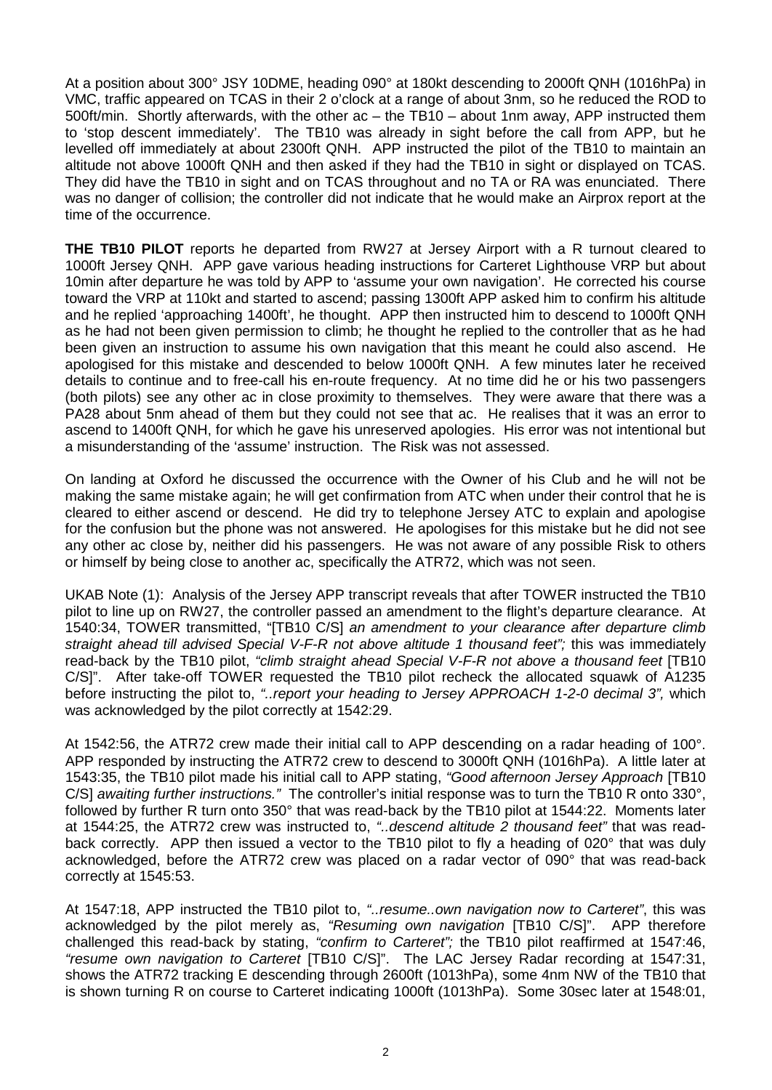At a position about 300° JSY 10DME, heading 090° at 180kt descending to 2000ft QNH (1016hPa) in VMC, traffic appeared on TCAS in their 2 o'clock at a range of about 3nm, so he reduced the ROD to 500ft/min. Shortly afterwards, with the other ac – the TB10 – about 1nm away, APP instructed them to 'stop descent immediately'. The TB10 was already in sight before the call from APP, but he levelled off immediately at about 2300ft QNH. APP instructed the pilot of the TB10 to maintain an altitude not above 1000ft QNH and then asked if they had the TB10 in sight or displayed on TCAS. They did have the TB10 in sight and on TCAS throughout and no TA or RA was enunciated. There was no danger of collision; the controller did not indicate that he would make an Airprox report at the time of the occurrence.

**THE TB10 PILOT** reports he departed from RW27 at Jersey Airport with a R turnout cleared to 1000ft Jersey QNH. APP gave various heading instructions for Carteret Lighthouse VRP but about 10min after departure he was told by APP to 'assume your own navigation'. He corrected his course toward the VRP at 110kt and started to ascend; passing 1300ft APP asked him to confirm his altitude and he replied 'approaching 1400ft', he thought. APP then instructed him to descend to 1000ft QNH as he had not been given permission to climb; he thought he replied to the controller that as he had been given an instruction to assume his own navigation that this meant he could also ascend. He apologised for this mistake and descended to below 1000ft QNH. A few minutes later he received details to continue and to free-call his en-route frequency. At no time did he or his two passengers (both pilots) see any other ac in close proximity to themselves. They were aware that there was a PA28 about 5nm ahead of them but they could not see that ac. He realises that it was an error to ascend to 1400ft QNH, for which he gave his unreserved apologies. His error was not intentional but a misunderstanding of the 'assume' instruction. The Risk was not assessed.

On landing at Oxford he discussed the occurrence with the Owner of his Club and he will not be making the same mistake again; he will get confirmation from ATC when under their control that he is cleared to either ascend or descend. He did try to telephone Jersey ATC to explain and apologise for the confusion but the phone was not answered. He apologises for this mistake but he did not see any other ac close by, neither did his passengers. He was not aware of any possible Risk to others or himself by being close to another ac, specifically the ATR72, which was not seen.

UKAB Note (1): Analysis of the Jersey APP transcript reveals that after TOWER instructed the TB10 pilot to line up on RW27, the controller passed an amendment to the flight's departure clearance. At 1540:34, TOWER transmitted, "[TB10 C/S] *an amendment to your clearance after departure climb straight ahead till advised Special V-F-R not above altitude 1 thousand feet";* this was immediately read-back by the TB10 pilot, *"climb straight ahead Special V-F-R not above a thousand feet* [TB10 C/S]". After take-off TOWER requested the TB10 pilot recheck the allocated squawk of A1235 before instructing the pilot to, *"..report your heading to Jersey APPROACH 1-2-0 decimal 3",* which was acknowledged by the pilot correctly at 1542:29.

At 1542:56, the ATR72 crew made their initial call to APP descending on a radar heading of 100°. APP responded by instructing the ATR72 crew to descend to 3000ft QNH (1016hPa). A little later at 1543:35, the TB10 pilot made his initial call to APP stating, *"Good afternoon Jersey Approach* [TB10 C/S] *awaiting further instructions."* The controller's initial response was to turn the TB10 R onto 330°, followed by further R turn onto 350° that was read-back by the TB10 pilot at 1544:22. Moments later at 1544:25, the ATR72 crew was instructed to, *"..descend altitude 2 thousand feet"* that was readback correctly. APP then issued a vector to the TB10 pilot to fly a heading of 020° that was duly acknowledged, before the ATR72 crew was placed on a radar vector of 090° that was read-back correctly at 1545:53.

At 1547:18, APP instructed the TB10 pilot to, *"..resume..own navigation now to Carteret"*, this was acknowledged by the pilot merely as, *"Resuming own navigation* [TB10 C/S]". APP therefore challenged this read-back by stating, *"confirm to Carteret";* the TB10 pilot reaffirmed at 1547:46, *"resume own navigation to Carteret* [TB10 C/S]". The LAC Jersey Radar recording at 1547:31, shows the ATR72 tracking E descending through 2600ft (1013hPa), some 4nm NW of the TB10 that is shown turning R on course to Carteret indicating 1000ft (1013hPa). Some 30sec later at 1548:01,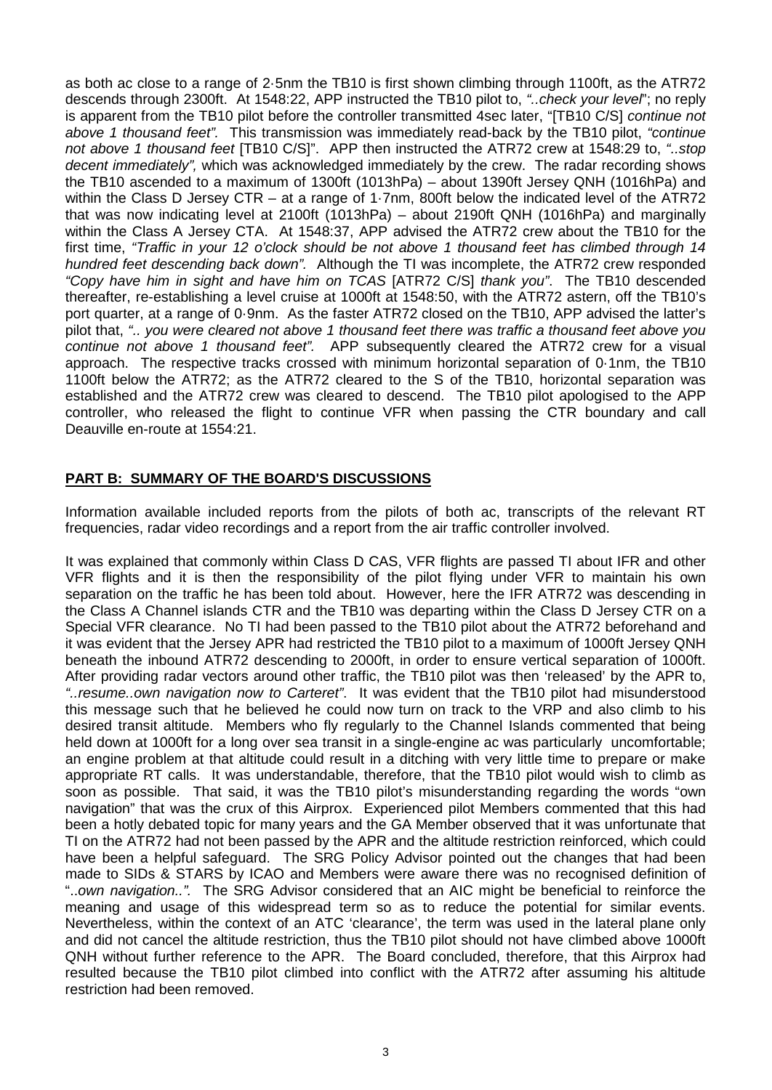as both ac close to a range of 2·5nm the TB10 is first shown climbing through 1100ft, as the ATR72 descends through 2300ft. At 1548:22, APP instructed the TB10 pilot to, *"..check your level*"; no reply is apparent from the TB10 pilot before the controller transmitted 4sec later, "[TB10 C/S] *continue not above 1 thousand feet".* This transmission was immediately read-back by the TB10 pilot, *"continue not above 1 thousand feet* [TB10 C/S]". APP then instructed the ATR72 crew at 1548:29 to, *"..stop decent immediately",* which was acknowledged immediately by the crew. The radar recording shows the TB10 ascended to a maximum of 1300ft (1013hPa) – about 1390ft Jersey QNH (1016hPa) and within the Class D Jersey CTR – at a range of 1·7nm, 800ft below the indicated level of the ATR72 that was now indicating level at 2100ft (1013hPa) – about 2190ft QNH (1016hPa) and marginally within the Class A Jersey CTA. At 1548:37, APP advised the ATR72 crew about the TB10 for the first time, *"Traffic in your 12 o'clock should be not above 1 thousand feet has climbed through 14 hundred feet descending back down".* Although the TI was incomplete, the ATR72 crew responded *"Copy have him in sight and have him on TCAS* [ATR72 C/S] *thank you"*. The TB10 descended thereafter, re-establishing a level cruise at 1000ft at 1548:50, with the ATR72 astern, off the TB10's port quarter, at a range of 0·9nm. As the faster ATR72 closed on the TB10, APP advised the latter's pilot that, *".. you were cleared not above 1 thousand feet there was traffic a thousand feet above you continue not above 1 thousand feet".* APP subsequently cleared the ATR72 crew for a visual approach. The respective tracks crossed with minimum horizontal separation of 0·1nm, the TB10 1100ft below the ATR72; as the ATR72 cleared to the S of the TB10, horizontal separation was established and the ATR72 crew was cleared to descend. The TB10 pilot apologised to the APP controller, who released the flight to continue VFR when passing the CTR boundary and call Deauville en-route at 1554:21.

## **PART B: SUMMARY OF THE BOARD'S DISCUSSIONS**

Information available included reports from the pilots of both ac, transcripts of the relevant RT frequencies, radar video recordings and a report from the air traffic controller involved.

It was explained that commonly within Class D CAS, VFR flights are passed TI about IFR and other VFR flights and it is then the responsibility of the pilot flying under VFR to maintain his own separation on the traffic he has been told about. However, here the IFR ATR72 was descending in the Class A Channel islands CTR and the TB10 was departing within the Class D Jersey CTR on a Special VFR clearance. No TI had been passed to the TB10 pilot about the ATR72 beforehand and it was evident that the Jersey APR had restricted the TB10 pilot to a maximum of 1000ft Jersey QNH beneath the inbound ATR72 descending to 2000ft, in order to ensure vertical separation of 1000ft. After providing radar vectors around other traffic, the TB10 pilot was then 'released' by the APR to, *"..resume..own navigation now to Carteret"*. It was evident that the TB10 pilot had misunderstood this message such that he believed he could now turn on track to the VRP and also climb to his desired transit altitude. Members who fly regularly to the Channel Islands commented that being held down at 1000ft for a long over sea transit in a single-engine ac was particularly uncomfortable; an engine problem at that altitude could result in a ditching with very little time to prepare or make appropriate RT calls. It was understandable, therefore, that the TB10 pilot would wish to climb as soon as possible. That said, it was the TB10 pilot's misunderstanding regarding the words "own navigation" that was the crux of this Airprox. Experienced pilot Members commented that this had been a hotly debated topic for many years and the GA Member observed that it was unfortunate that TI on the ATR72 had not been passed by the APR and the altitude restriction reinforced, which could have been a helpful safeguard. The SRG Policy Advisor pointed out the changes that had been made to SIDs & STARS by ICAO and Members were aware there was no recognised definition of "..*own navigation..".* The SRG Advisor considered that an AIC might be beneficial to reinforce the meaning and usage of this widespread term so as to reduce the potential for similar events. Nevertheless, within the context of an ATC 'clearance', the term was used in the lateral plane only and did not cancel the altitude restriction, thus the TB10 pilot should not have climbed above 1000ft QNH without further reference to the APR. The Board concluded, therefore, that this Airprox had resulted because the TB10 pilot climbed into conflict with the ATR72 after assuming his altitude restriction had been removed.